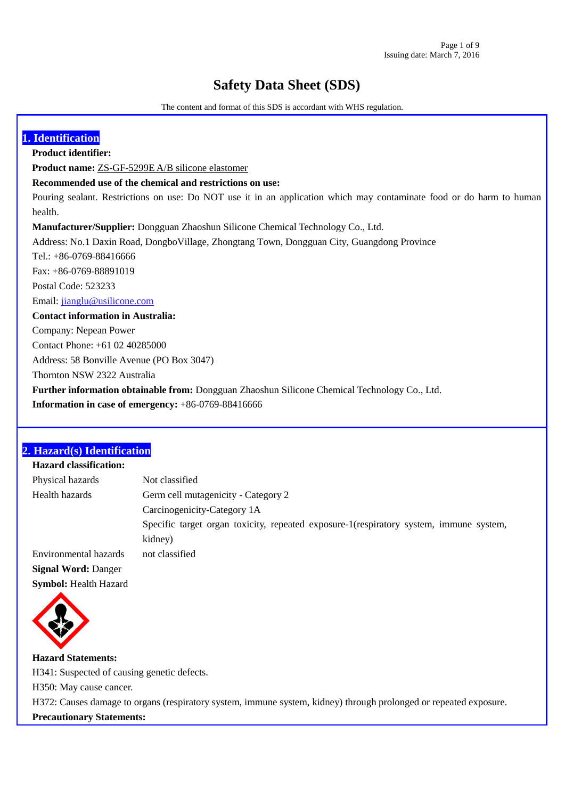# **Safety Data Sheet (SDS)**

The content and format of this SDS is accordant with WHS regulation.

| 1. Identification                                                                                                    |
|----------------------------------------------------------------------------------------------------------------------|
| <b>Product identifier:</b>                                                                                           |
| <b>Product name:</b> ZS-GF-5299E A/B silicone elastomer                                                              |
| Recommended use of the chemical and restrictions on use:                                                             |
| Pouring sealant. Restrictions on use: Do NOT use it in an application which may contaminate food or do harm to human |
| health.                                                                                                              |
| <b>Manufacturer/Supplier:</b> Dongguan Zhaoshun Silicone Chemical Technology Co., Ltd.                               |
| Address: No.1 Daxin Road, Dongbo Village, Zhongtang Town, Dongguan City, Guangdong Province                          |
| Tel.: $+86-0769-88416666$                                                                                            |
| Fax: $+86-0769-88891019$                                                                                             |
| Postal Code: 523233                                                                                                  |
| Email: jianglu@usilicone.com                                                                                         |
| <b>Contact information in Australia:</b>                                                                             |
| Company: Nepean Power                                                                                                |
| Contact Phone: $+61$ 02 40285000                                                                                     |
| Address: 58 Bonville Avenue (PO Box 3047)                                                                            |
| Thornton NSW 2322 Australia                                                                                          |
| Further information obtainable from: Dongguan Zhaoshun Silicone Chemical Technology Co., Ltd.                        |
| <b>Information in case of emergency:</b> $+86-0769-88416666$                                                         |

# **2. Hazard(s) Identification**

| <b>Hazard classification:</b> |                                                                                        |
|-------------------------------|----------------------------------------------------------------------------------------|
| Physical hazards              | Not classified                                                                         |
| Health hazards                | Germ cell mutagenicity - Category 2                                                    |
|                               | Carcinogenicity-Category 1A                                                            |
|                               | Specific target organ toxicity, repeated exposure-1(respiratory system, immune system, |
|                               | kidney)                                                                                |
| Environmental hazards         | not classified                                                                         |
| <b>Signal Word: Danger</b>    |                                                                                        |
| <b>Symbol:</b> Health Hazard  |                                                                                        |



 **Hazard Statements:**  H341: Suspected of causing genetic defects. H350: May cause cancer. H372: Causes damage to organs (respiratory system, immune system, kidney) through prolonged or repeated exposure. **Precautionary Statements:**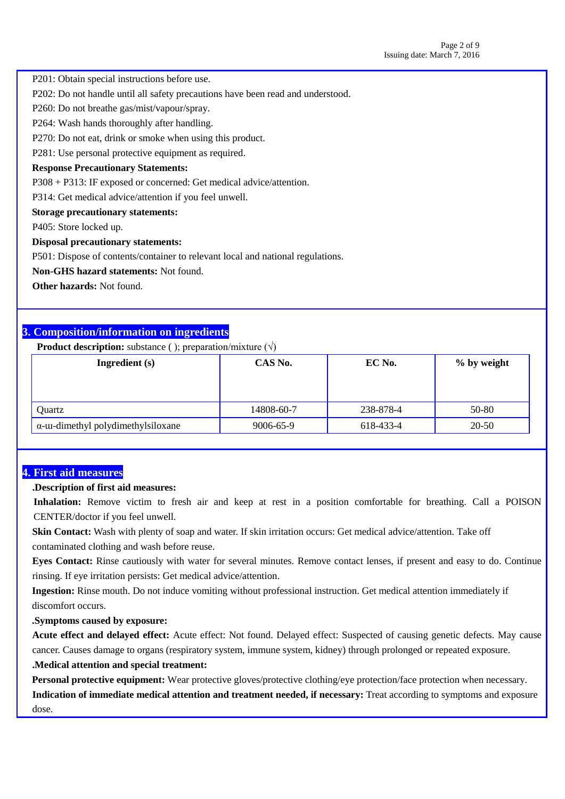P201: Obtain special instructions before use.

P202: Do not handle until all safety precautions have been read and understood.

P260: Do not breathe gas/mist/vapour/spray.

P264: Wash hands thoroughly after handling.

P270: Do not eat, drink or smoke when using this product.

P281: Use personal protective equipment as required.

#### **Response Precautionary Statements:**

P308 + P313: IF exposed or concerned: Get medical advice/attention.

P314: Get medical advice/attention if you feel unwell.

**Storage precautionary statements:**

P405: Store locked up.

#### **Disposal precautionary statements:**

P501: Dispose of contents/container to relevant local and national regulations.

**Non-GHS hazard statements:** Not found.

**Other hazards:** Not found.

# **3. Composition/information on ingredients**

**Product description:** substance ( ); preparation/mixture  $(\sqrt{ })$ 

| Ingredient (s)                             | CAS No.    | EC No.    | % by weight |
|--------------------------------------------|------------|-----------|-------------|
|                                            |            |           |             |
|                                            |            |           |             |
| Quartz                                     | 14808-60-7 | 238-878-4 | 50-80       |
| $\alpha$ -uu-dimethyl polydimethylsiloxane | 9006-65-9  | 618-433-4 | 20-50       |

### **4. First aid measures**

#### **.Description of first aid measures:**

**Inhalation:** Remove victim to fresh air and keep at rest in a position comfortable for breathing. Call a POISON CENTER/doctor if you feel unwell.

**Skin Contact:** Wash with plenty of soap and water. If skin irritation occurs: Get medical advice/attention. Take off contaminated clothing and wash before reuse.

**Eyes Contact:** Rinse cautiously with water for several minutes. Remove contact lenses, if present and easy to do. Continue rinsing. If eye irritation persists: Get medical advice/attention.

**Ingestion:** Rinse mouth. Do not induce vomiting without professional instruction. Get medical attention immediately if discomfort occurs.

### **.Symptoms caused by exposure:**

**Acute effect and delayed effect:** Acute effect: Not found. Delayed effect: Suspected of causing genetic defects. May cause cancer. Causes damage to organs (respiratory system, immune system, kidney) through prolonged or repeated exposure. **.Medical attention and special treatment:**

**Personal protective equipment:** Wear protective gloves/protective clothing/eye protection/face protection when necessary. **Indication of immediate medical attention and treatment needed, if necessary:** Treat according to symptoms and exposure dose.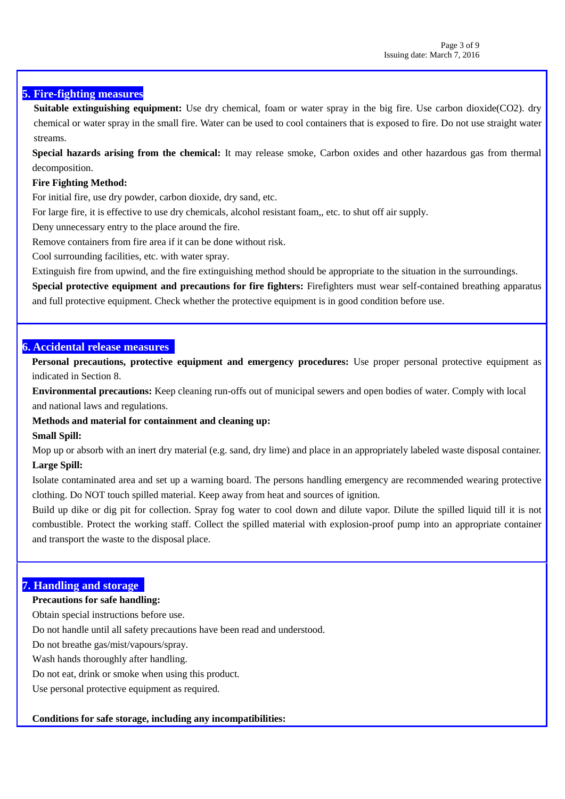# **5. Fire-fighting measures**

**Suitable extinguishing equipment:** Use dry chemical, foam or water spray in the big fire. Use carbon dioxide(CO2). dry chemical or water spray in the small fire. Water can be used to cool containers that is exposed to fire. Do not use straight water streams.

**Special hazards arising from the chemical:** It may release smoke, Carbon oxides and other hazardous gas from thermal decomposition.

### **Fire Fighting Method:**

For initial fire, use dry powder, carbon dioxide, dry sand, etc.

For large fire, it is effective to use dry chemicals, alcohol resistant foam,, etc. to shut off air supply.

Deny unnecessary entry to the place around the fire.

Remove containers from fire area if it can be done without risk.

Cool surrounding facilities, etc. with water spray.

Extinguish fire from upwind, and the fire extinguishing method should be appropriate to the situation in the surroundings.

**Special protective equipment and precautions for fire fighters:** Firefighters must wear self-contained breathing apparatus and full protective equipment. Check whether the protective equipment is in good condition before use.

### **6. Accidental release measures**

**Personal precautions, protective equipment and emergency procedures:** Use proper personal protective equipment as indicated in Section 8.

 **Environmental precautions:** Keep cleaning run-offs out of municipal sewers and open bodies of water. Comply with local and national laws and regulations.

### **Methods and material for containment and cleaning up:**

### **Small Spill:**

Mop up or absorb with an inert dry material (e.g. sand, dry lime) and place in an appropriately labeled waste disposal container. **Large Spill:**

Isolate contaminated area and set up a warning board. The persons handling emergency are recommended wearing protective clothing. Do NOT touch spilled material. Keep away from heat and sources of ignition.

Build up dike or dig pit for collection. Spray fog water to cool down and dilute vapor. Dilute the spilled liquid till it is not combustible. Protect the working staff. Collect the spilled material with explosion-proof pump into an appropriate container and transport the waste to the disposal place.

### **7. Handling and storage**

### **Precautions for safe handling:**

Obtain special instructions before use.

Do not handle until all safety precautions have been read and understood.

Do not breathe gas/mist/vapours/spray.

Wash hands thoroughly after handling.

Do not eat, drink or smoke when using this product.

Use personal protective equipment as required.

### **Conditions for safe storage, including any incompatibilities:**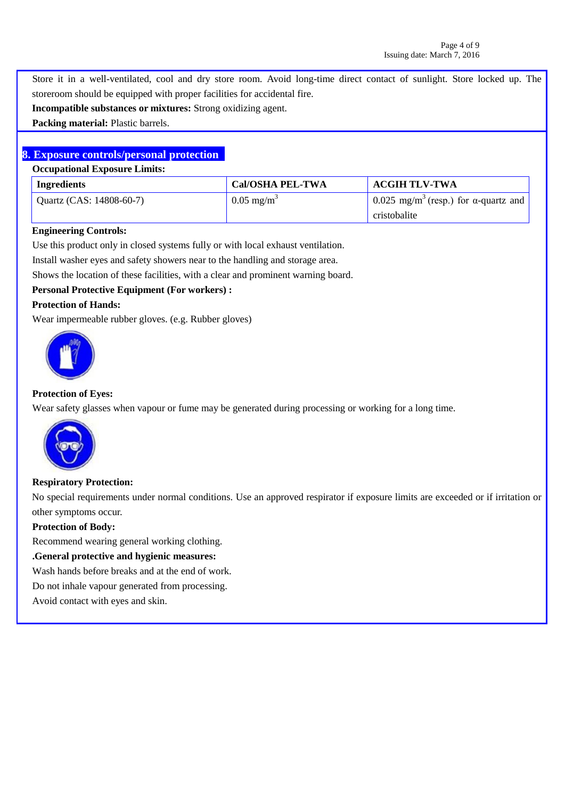Store it in a well-ventilated, cool and dry store room. Avoid long-time direct contact of sunlight. Store locked up. The storeroom should be equipped with proper facilities for accidental fire.

**Incompatible substances or mixtures:** Strong oxidizing agent.

 **Packing material:** Plastic barrels.

# **8. Exposure controls/personal protection**

#### **Occupational Exposure Limits:**

| Ingredients              | <b>Cal/OSHA PEL-TWA</b> | <b>ACGIH TLV-TWA</b>                                     |
|--------------------------|-------------------------|----------------------------------------------------------|
| Quartz (CAS: 14808-60-7) | $0.05 \text{ mg/m}^3$   | 0.025 mg/m <sup>3</sup> (resp.) for $\alpha$ -quartz and |
|                          |                         | cristobalite                                             |

#### **Engineering Controls:**

Use this product only in closed systems fully or with local exhaust ventilation.

Install washer eyes and safety showers near to the handling and storage area.

Shows the location of these facilities, with a clear and prominent warning board.

### **Personal Protective Equipment (For workers) :**

### **Protection of Hands:**

Wear impermeable rubber gloves. (e.g. Rubber gloves)



### **Protection of Eyes:**

Wear safety glasses when vapour or fume may be generated during processing or working for a long time.



### **Respiratory Protection:**

No special requirements under normal conditions. Use an approved respirator if exposure limits are exceeded or if irritation or other symptoms occur.

### **Protection of Body:**

Recommend wearing general working clothing.

#### **.General protective and hygienic measures:**

Wash hands before breaks and at the end of work.

Do not inhale vapour generated from processing.

Avoid contact with eyes and skin.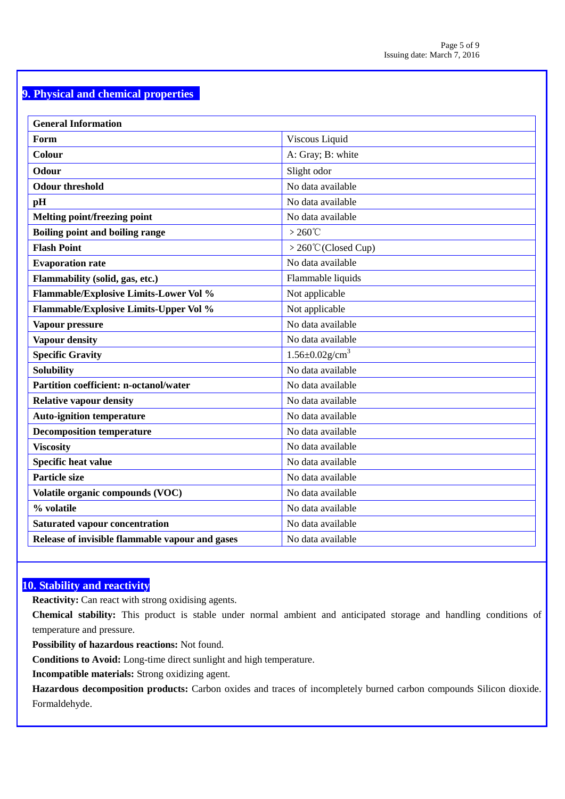# **9. Physical and chemical properties**

| <b>General Information</b>                      |                                   |
|-------------------------------------------------|-----------------------------------|
| Form                                            | Viscous Liquid                    |
| Colour                                          | A: Gray; B: white                 |
| Odour                                           | Slight odor                       |
| <b>Odour threshold</b>                          | No data available                 |
| pH                                              | No data available                 |
| Melting point/freezing point                    | No data available                 |
| Boiling point and boiling range                 | $>260^{\circ}$ C                  |
| <b>Flash Point</b>                              | > 260°C (Closed Cup)              |
| <b>Evaporation rate</b>                         | No data available                 |
| Flammability (solid, gas, etc.)                 | Flammable liquids                 |
| <b>Flammable/Explosive Limits-Lower Vol %</b>   | Not applicable                    |
| Flammable/Explosive Limits-Upper Vol %          | Not applicable                    |
| Vapour pressure                                 | No data available                 |
| <b>Vapour density</b>                           | No data available                 |
| <b>Specific Gravity</b>                         | $1.56 \pm 0.02$ g/cm <sup>3</sup> |
| <b>Solubility</b>                               | No data available                 |
| <b>Partition coefficient: n-octanol/water</b>   | No data available                 |
| <b>Relative vapour density</b>                  | No data available                 |
| <b>Auto-ignition temperature</b>                | No data available                 |
| <b>Decomposition temperature</b>                | No data available                 |
| <b>Viscosity</b>                                | No data available                 |
| <b>Specific heat value</b>                      | No data available                 |
| <b>Particle size</b>                            | No data available                 |
| Volatile organic compounds (VOC)                | No data available                 |
| % volatile                                      | No data available                 |
| <b>Saturated vapour concentration</b>           | No data available                 |
| Release of invisible flammable vapour and gases | No data available                 |

# **10. Stability and reactivity**

**Reactivity:** Can react with strong oxidising agents.

**Chemical stability:** This product is stable under normal ambient and anticipated storage and handling conditions of temperature and pressure.

**Possibility of hazardous reactions:** Not found.

**Conditions to Avoid:** Long-time direct sunlight and high temperature.

 **Incompatible materials:** Strong oxidizing agent.

 **Hazardous decomposition products:** Carbon oxides and traces of incompletely burned carbon compounds Silicon dioxide. Formaldehyde.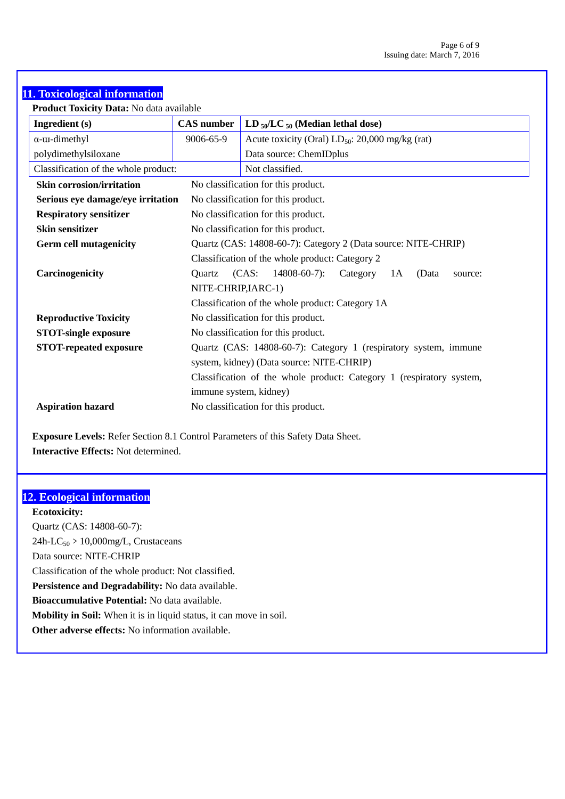# **11. Toxicological information**

**Product Toxicity Data:** No data available

| Ingredient (s)                       | <b>CAS</b> number                   | $LD_{50}/LC_{50}$ (Median lethal dose)                               |  |  |
|--------------------------------------|-------------------------------------|----------------------------------------------------------------------|--|--|
| $\alpha$ - $\alpha$ -dimethyl        | 9006-65-9                           | Acute toxicity (Oral) $LD_{50}$ : 20,000 mg/kg (rat)                 |  |  |
| polydimethylsiloxane                 |                                     | Data source: ChemIDplus                                              |  |  |
| Classification of the whole product: |                                     | Not classified.                                                      |  |  |
| <b>Skin corrosion/irritation</b>     |                                     | No classification for this product.                                  |  |  |
| Serious eye damage/eye irritation    |                                     | No classification for this product.                                  |  |  |
| <b>Respiratory sensitizer</b>        |                                     | No classification for this product.                                  |  |  |
| <b>Skin sensitizer</b>               |                                     | No classification for this product.                                  |  |  |
| <b>Germ cell mutagenicity</b>        |                                     | Quartz (CAS: 14808-60-7): Category 2 (Data source: NITE-CHRIP)       |  |  |
|                                      |                                     | Classification of the whole product: Category 2                      |  |  |
| Carcinogenicity                      | Quartz                              | (CAS)<br>$14808 - 60 - 7$ :<br>Category<br>(Data<br>1A<br>source:    |  |  |
|                                      | NITE-CHRIP, IARC-1)                 |                                                                      |  |  |
|                                      |                                     | Classification of the whole product: Category 1A                     |  |  |
| <b>Reproductive Toxicity</b>         | No classification for this product. |                                                                      |  |  |
| <b>STOT-single exposure</b>          |                                     | No classification for this product.                                  |  |  |
| <b>STOT-repeated exposure</b>        |                                     | Quartz (CAS: 14808-60-7): Category 1 (respiratory system, immune     |  |  |
|                                      |                                     | system, kidney) (Data source: NITE-CHRIP)                            |  |  |
|                                      |                                     | Classification of the whole product: Category 1 (respiratory system, |  |  |
|                                      |                                     | immune system, kidney)                                               |  |  |
| <b>Aspiration hazard</b>             |                                     | No classification for this product.                                  |  |  |

 **Exposure Levels:** Refer Section 8.1 Control Parameters of this Safety Data Sheet.  **Interactive Effects:** Not determined.

# **12. Ecological information**

 **Ecotoxicity:** Quartz (CAS: 14808-60-7):  $24h-LC_{50}$  > 10,000mg/L, Crustaceans Data source: NITE-CHRIP Classification of the whole product: Not classified.  **Persistence and Degradability:** No data available. **Bioaccumulative Potential:** No data available. **Mobility in Soil:** When it is in liquid status, it can move in soil. **Other adverse effects:** No information available.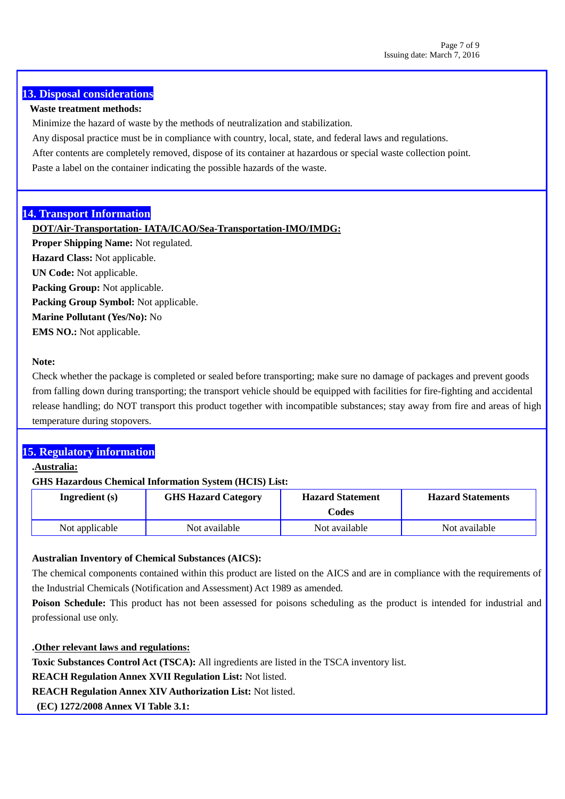# **13. Disposal considerations**

### **Waste treatment methods:**

Minimize the hazard of waste by the methods of neutralization and stabilization.

Any disposal practice must be in compliance with country, local, state, and federal laws and regulations.

After contents are completely removed, dispose of its container at hazardous or special waste collection point.

Paste a label on the container indicating the possible hazards of the waste.

### **14. Transport Information**

### **DOT/Air-Transportation- IATA/ICAO/Sea-Transportation-IMO/IMDG:**

**Proper Shipping Name:** Not regulated.

**Hazard Class:** Not applicable.

**UN Code:** Not applicable.

**Packing Group:** Not applicable.

**Packing Group Symbol:** Not applicable.

**Marine Pollutant (Yes/No):** No

**EMS NO.:** Not applicable.

### **Note:**

 Check whether the package is completed or sealed before transporting; make sure no damage of packages and prevent goods from falling down during transporting; the transport vehicle should be equipped with facilities for fire-fighting and accidental release handling; do NOT transport this product together with incompatible substances; stay away from fire and areas of high temperature during stopovers.

# **15. Regulatory information**

### **.Australia:**

### **GHS Hazardous Chemical Information System (HCIS) List:**

| Ingredient $(s)$ | <b>GHS Hazard Category</b> | <b>Hazard Statement</b><br>Codes | <b>Hazard Statements</b> |
|------------------|----------------------------|----------------------------------|--------------------------|
| Not applicable   | Not available              | Not available                    | Not available            |

### **Australian Inventory of Chemical Substances (AICS):**

The chemical components contained within this product are listed on the AICS and are in compliance with the requirements of the Industrial Chemicals (Notification and Assessment) Act 1989 as amended.

**Poison Schedule:** This product has not been assessed for poisons scheduling as the product is intended for industrial and professional use only.

# **.Other relevant laws and regulations:**

**Toxic Substances Control Act (TSCA):** All ingredients are listed in the TSCA inventory list.

**REACH Regulation Annex XVII Regulation List:** Not listed.

**REACH Regulation Annex XIV Authorization List:** Not listed.

**(EC) 1272/2008 Annex VI Table 3.1:**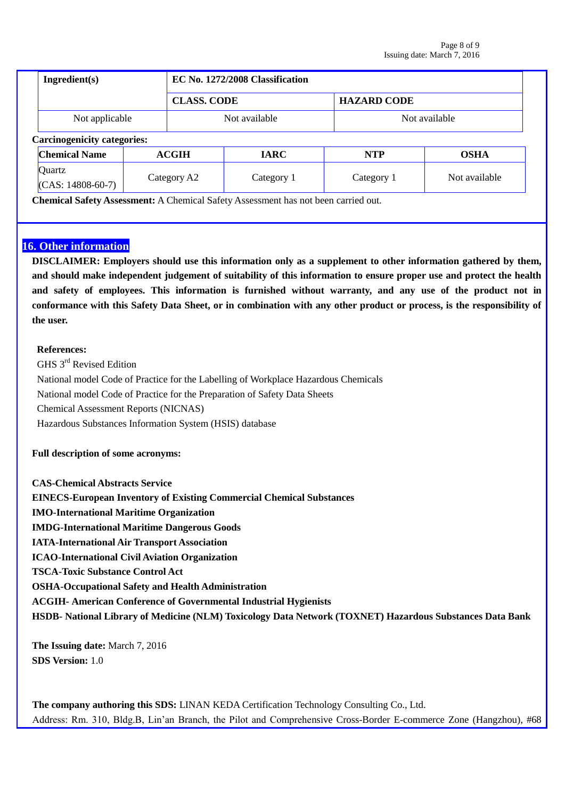| Ingradient(s)                      |              | EC No. 1272/2008 Classification |                    |               |  |
|------------------------------------|--------------|---------------------------------|--------------------|---------------|--|
| <b>CLASS. CODE</b>                 |              |                                 | <b>HAZARD CODE</b> |               |  |
| Not applicable                     |              | Not available                   |                    | Not available |  |
| <b>Carcinogenicity categories:</b> |              |                                 |                    |               |  |
| <b>Chemical Name</b>               | <b>ACGIH</b> | <b>IARC</b>                     | <b>NTP</b>         | <b>OSHA</b>   |  |
| Quartz<br>$(CAS: 14808-60-7)$      | Category A2  | Category 1                      | Category 1         | Not available |  |

**Chemical Safety Assessment:** A Chemical Safety Assessment has not been carried out.

# **16. Other information**

**DISCLAIMER: Employers should use this information only as a supplement to other information gathered by them, and should make independent judgement of suitability of this information to ensure proper use and protect the health and safety of employees. This information is furnished without warranty, and any use of the product not in conformance with this Safety Data Sheet, or in combination with any other product or process, is the responsibility of the user.**

### **References:**

GHS 3<sup>rd</sup> Revised Edition National model Code of Practice for the Labelling of Workplace Hazardous Chemicals National model Code of Practice for the Preparation of Safety Data Sheets Chemical Assessment Reports (NICNAS) Hazardous Substances Information System (HSIS) database

### **Full description of some acronyms:**

**CAS-Chemical Abstracts Service EINECS-European Inventory of Existing Commercial Chemical Substances IMO-International Maritime Organization IMDG-International Maritime Dangerous Goods IATA-International Air Transport Association ICAO-International Civil Aviation Organization TSCA-Toxic Substance Control Act OSHA-Occupational Safety and Health Administration ACGIH- American Conference of Governmental Industrial Hygienists HSDB- National Library of Medicine (NLM) Toxicology Data Network (TOXNET) Hazardous Substances Data Bank**

**The Issuing date:** March 7, 2016 **SDS Version:** 1.0

**The company authoring this SDS:** LINAN KEDA Certification Technology Consulting Co., Ltd. Address: Rm. 310, Bldg.B, Lin'an Branch, the Pilot and Comprehensive Cross-Border E-commerce Zone (Hangzhou), #68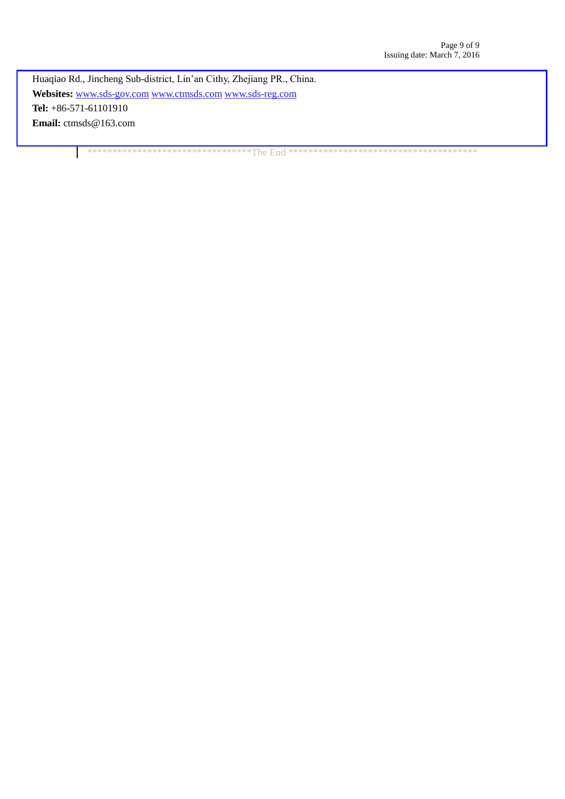Huaqiao Rd., Jincheng Sub-district, Lin'an Cithy, Zhejiang PR., China. **Websites:** [www.sds-gov.com](http://www.sds-gov.com/) [www.ctmsds.com](http://www.ctmsds.com/) [www.sds-reg.com](http://www.sds-reg.com/) **Tel:** +86-571-61101910 **Email:** ctmsds@163.com

\*\*\*\*\*\*\*\*\*\*\*\*\*\*\*\*\*\*\*\*\*\*\*\*\*\*\*\*\*\*\*\*\*The End \*\*\*\*\*\*\*\*\*\*\*\*\*\*\*\*\*\*\*\*\*\*\*\*\*\*\*\*\*\*\*\*\*\*\*\*\*\*